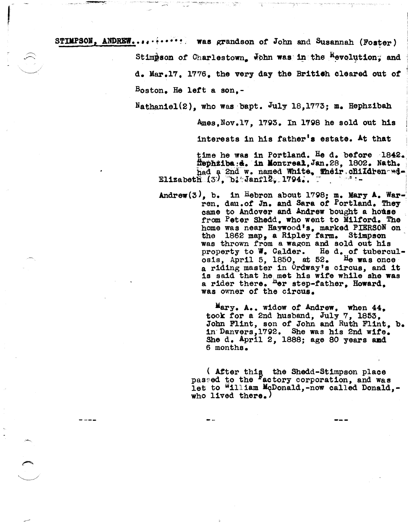STIMPSON, ANDREW............ was grandson of John and Susannah (Foster) Stimpson of Charlestown. John was in the Revolution; and d. Kar.17, 1776, the very day the Britieh cleared out *ot*  Boston. He lett a son,-

t<br>September<br>1980 - Paris Barbara r

Nathaniel(2), who was bapt. July 18,1773; m. Hephzibah

~es,Nov.17, 17g3. In 17gS he sold out his

interests in his father's estate. At that

time he was in Portland. He d. before 1842. flephziba:d. in Montreal, Jan. 28, 1802. Nath. had a 2nd w. named White. Their cHildren ed-<br>Elizabeth  $(3)$ , b · Janfl2, 1794..  $\Box$ 

 $\text{Andrew}(3)$ , b. in Hebron about 1798; m. Mary A. Warren, dau.of Jn. and Sara of Portland. They came to Andover and Andrew bought a house trom Peter Shedd, who went to Milford. The home was near Haywood's, marked PIERSON on the 1862 map, a Ripley tarm. Stimpson was thrown from a wagon and sold out his property to W. Calder. He d. of tubercul-<br>osis. April 5, 1850, at 52. He was once osis, April 5, 1850, at  $52.$ a riding master in Ordway's Circus, and it is said that he met his wife while she was a rider there. her step-father, Howard, was owner *ot* the circus.

> Mary. A.. widow of Andrew, when 44, took tor a 2nd husband, July 7, 1S53, John Flint, son of John and Ruth Flint, b. in'Danvers,17g2. She was his 2nd wife. She d.  $April 2, 1888; age 80 years and$ 6 months.

( After this the Shedd-Stimpson place pased to the <sup>F</sup>actory corporation, and was let to "illiam McDonald,-now called Donald,who lived there.)